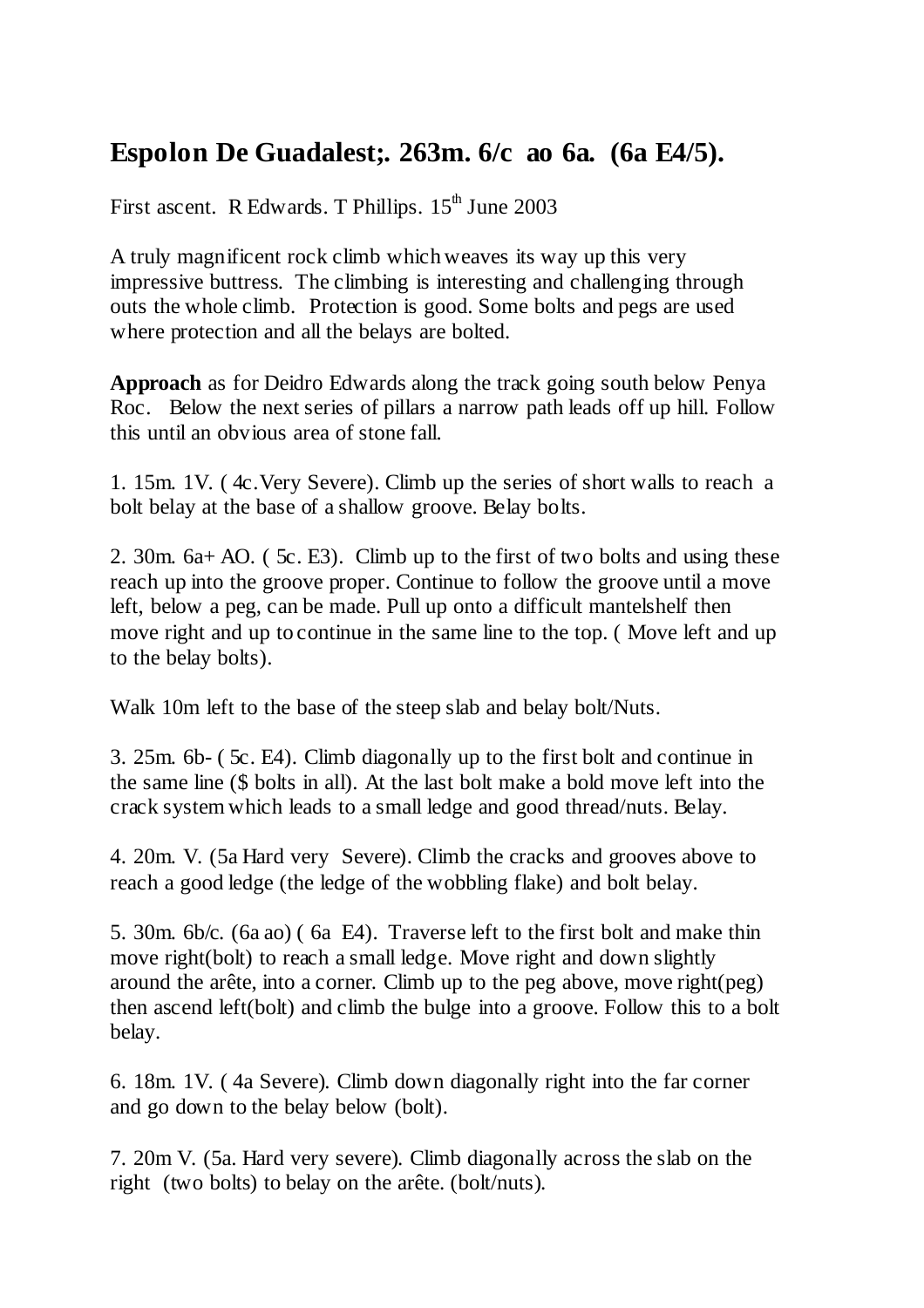## **Espolon De Guadalest;. 263m. 6/c ao 6a. (6a E4/5).**

First ascent. R Edwards. T Phillips.  $15<sup>th</sup>$  June 2003

A truly magnificent rock climb which weaves its way up this very impressive buttress. The climbing is interesting and challenging through outs the whole climb. Protection is good. Some bolts and pegs are used where protection and all the belays are bolted.

**Approach** as for Deidro Edwards along the track going south below Penya Roc. Below the next series of pillars a narrow path leads off up hill. Follow this until an obvious area of stone fall.

1. 15m. 1V. ( 4c.Very Severe). Climb up the series of short walls to reach a bolt belay at the base of a shallow groove. Belay bolts.

2. 30m. 6a+ AO. ( 5c. E3). Climb up to the first of two bolts and using these reach up into the groove proper. Continue to follow the groove until a move left, below a peg, can be made. Pull up onto a difficult mantelshelf then move right and up to continue in the same line to the top. ( Move left and up to the belay bolts).

Walk 10m left to the base of the steep slab and belay bolt/Nuts.

3. 25m. 6b- ( 5c. E4). Climb diagonally up to the first bolt and continue in the same line (\$ bolts in all). At the last bolt make a bold move left into the crack system which leads to a small ledge and good thread/nuts. Belay.

4. 20m. V. (5a Hard very Severe). Climb the cracks and grooves above to reach a good ledge (the ledge of the wobbling flake) and bolt belay.

5. 30m. 6b/c. (6a ao) ( 6a E4). Traverse left to the first bolt and make thin move right(bolt) to reach a small ledge. Move right and down slightly around the arête, into a corner. Climb up to the peg above, move right(peg) then ascend left(bolt) and climb the bulge into a groove. Follow this to a bolt belay.

6. 18m. 1V. ( 4a Severe). Climb down diagonally right into the far corner and go down to the belay below (bolt).

7. 20m V. (5a. Hard very severe). Climb diagonally across the slab on the right (two bolts) to belay on the arête. (bolt/nuts).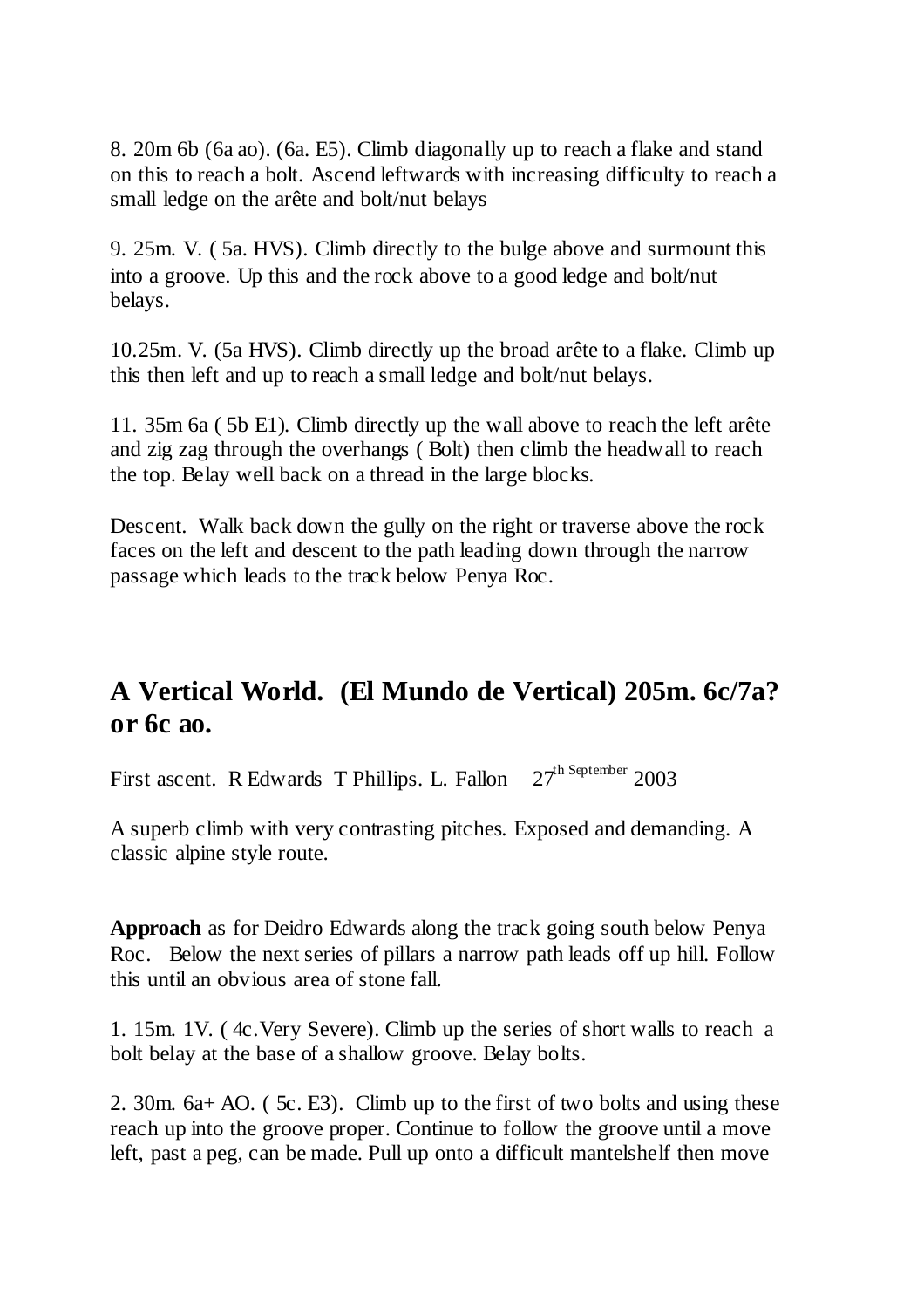8. 20m 6b (6a ao). (6a. E5). Climb diagonally up to reach a flake and stand on this to reach a bolt. Ascend leftwards with increasing difficulty to reach a small ledge on the arête and bolt/nut belays

9. 25m. V. ( 5a. HVS). Climb directly to the bulge above and surmount this into a groove. Up this and the rock above to a good ledge and bolt/nut belays.

10.25m. V. (5a HVS). Climb directly up the broad arête to a flake. Climb up this then left and up to reach a small ledge and bolt/nut belays.

11. 35m 6a ( 5b E1). Climb directly up the wall above to reach the left arête and zig zag through the overhangs ( Bolt) then climb the headwall to reach the top. Belay well back on a thread in the large blocks.

Descent. Walk back down the gully on the right or traverse above the rock faces on the left and descent to the path leading down through the narrow passage which leads to the track below Penya Roc.

## **A Vertical World. (El Mundo de Vertical) 205m. 6c/7a? or 6c ao.**

First ascent. R Edwards T Phillips. L. Fallon  $27<sup>th September</sup> 2003$ 

A superb climb with very contrasting pitches. Exposed and demanding. A classic alpine style route.

**Approach** as for Deidro Edwards along the track going south below Penya Roc. Below the next series of pillars a narrow path leads off up hill. Follow this until an obvious area of stone fall.

1. 15m. 1V. ( 4c.Very Severe). Climb up the series of short walls to reach a bolt belay at the base of a shallow groove. Belay bolts.

2. 30m. 6a+ AO. ( 5c. E3). Climb up to the first of two bolts and using these reach up into the groove proper. Continue to follow the groove until a move left, past a peg, can be made. Pull up onto a difficult mantelshelf then move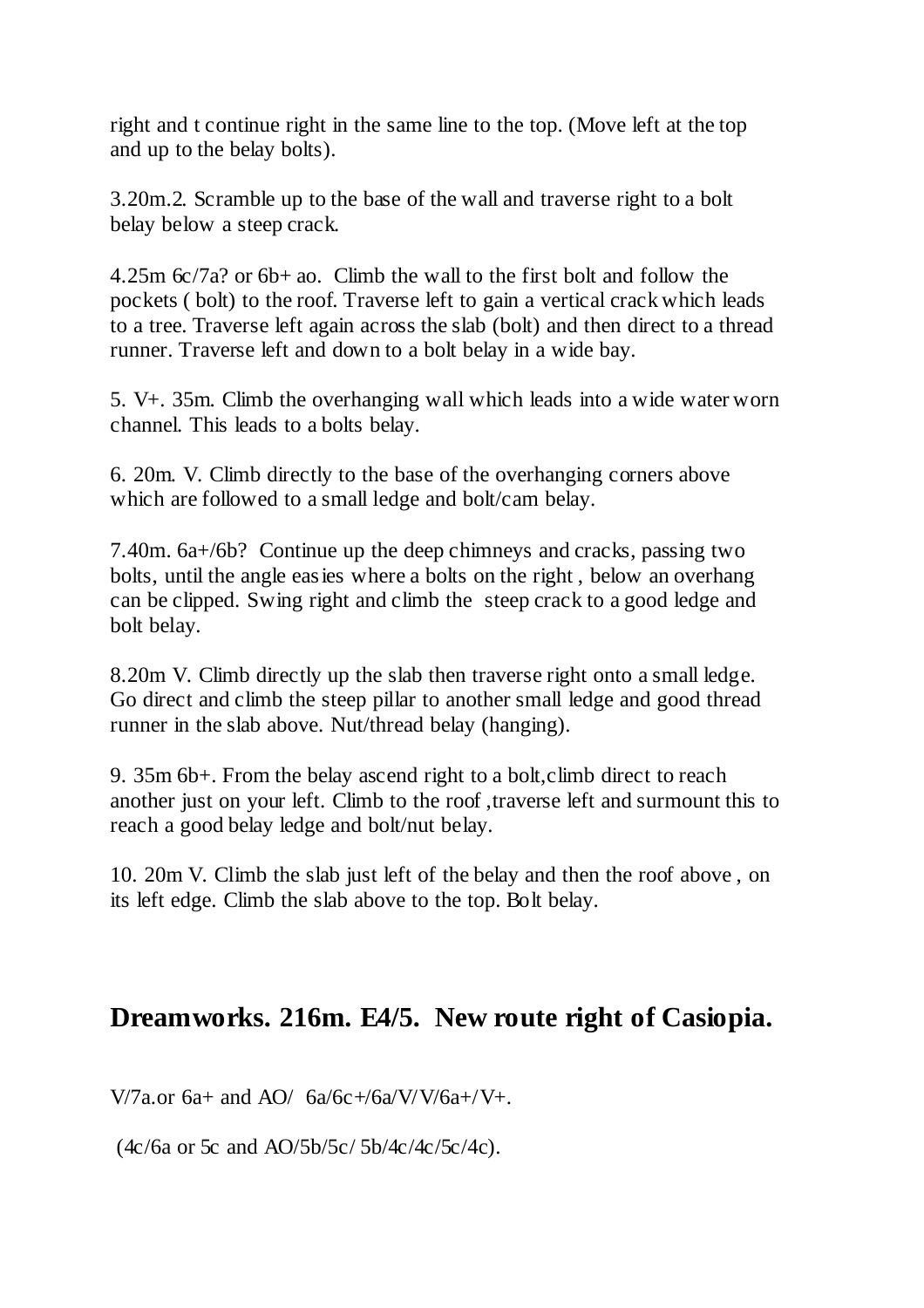right and t continue right in the same line to the top. (Move left at the top and up to the belay bolts).

3.20m.2. Scramble up to the base of the wall and traverse right to a bolt belay below a steep crack.

4.25m 6c/7a? or 6b+ ao. Climb the wall to the first bolt and follow the pockets ( bolt) to the roof. Traverse left to gain a vertical crack which leads to a tree. Traverse left again across the slab (bolt) and then direct to a thread runner. Traverse left and down to a bolt belay in a wide bay.

5. V+. 35m. Climb the overhanging wall which leads into a wide water worn channel. This leads to a bolts belay.

6. 20m. V. Climb directly to the base of the overhanging corners above which are followed to a small ledge and bolt/cam belay.

7.40m. 6a+/6b? Continue up the deep chimneys and cracks, passing two bolts, until the angle easies where a bolts on the right , below an overhang can be clipped. Swing right and climb the steep crack to a good ledge and bolt belay.

8.20m V. Climb directly up the slab then traverse right onto a small ledge. Go direct and climb the steep pillar to another small ledge and good thread runner in the slab above. Nut/thread belay (hanging).

9. 35m 6b+. From the belay ascend right to a bolt,climb direct to reach another just on your left. Climb to the roof ,traverse left and surmount this to reach a good belay ledge and bolt/nut belay.

10. 20m V. Climb the slab just left of the belay and then the roof above , on its left edge. Climb the slab above to the top. Bolt belay.

## **Dreamworks. 216m. E4/5. New route right of Casiopia.**

 $V/7a$ .or 6a+ and AO/ 6a/6c+/6a/V/V/6a+/V+.

(4c/6a or 5c and AO/5b/5c/ 5b/4c/4c/5c/4c).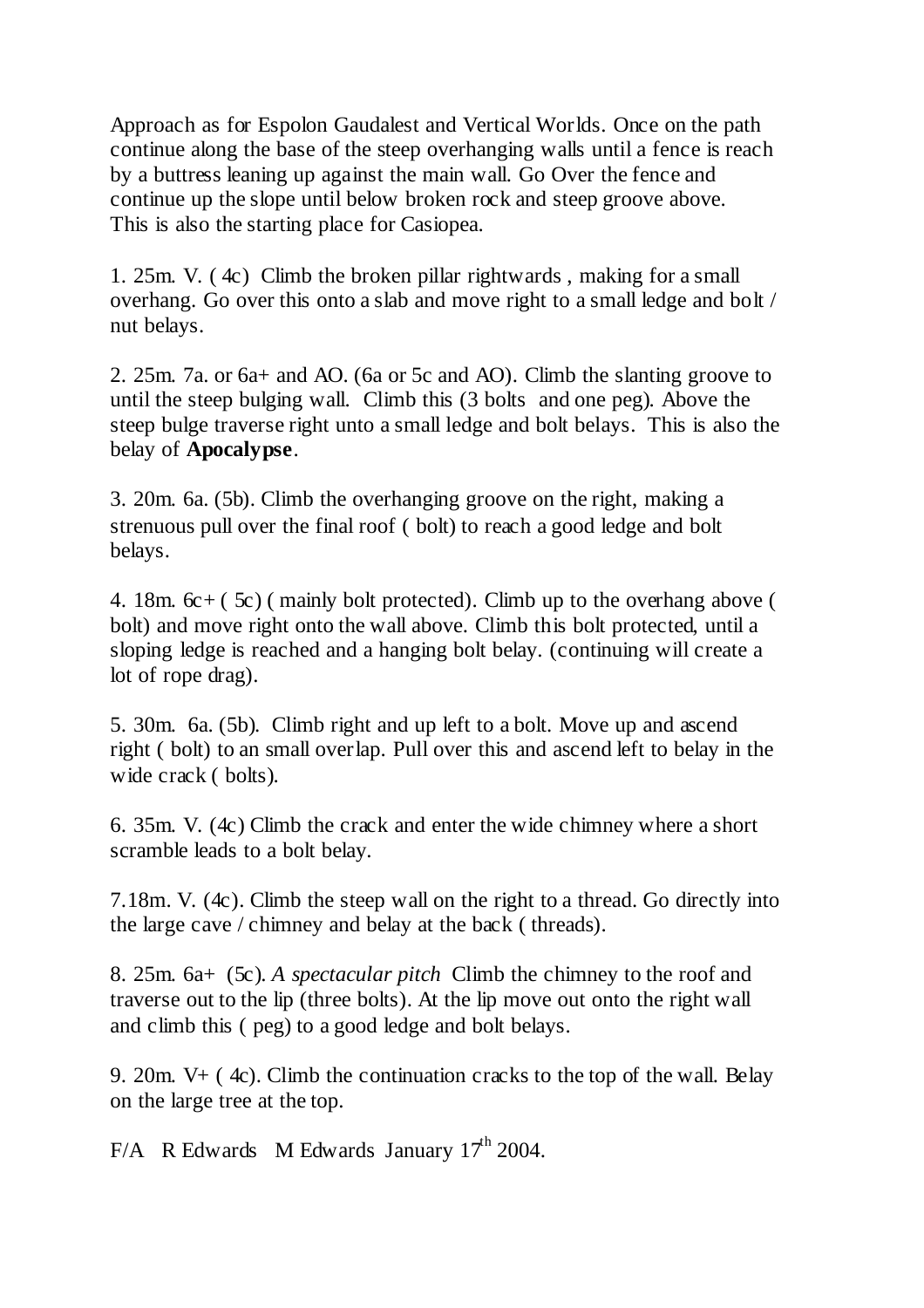Approach as for Espolon Gaudalest and Vertical Worlds. Once on the path continue along the base of the steep overhanging walls until a fence is reach by a buttress leaning up against the main wall. Go Over the fence and continue up the slope until below broken rock and steep groove above. This is also the starting place for Casiopea.

1. 25m. V. ( 4c) Climb the broken pillar rightwards , making for a small overhang. Go over this onto a slab and move right to a small ledge and bolt / nut belays.

2. 25m. 7a. or 6a+ and AO. (6a or 5c and AO). Climb the slanting groove to until the steep bulging wall. Climb this (3 bolts and one peg). Above the steep bulge traverse right unto a small ledge and bolt belays. This is also the belay of **Apocalypse**.

3. 20m. 6a. (5b). Climb the overhanging groove on the right, making a strenuous pull over the final roof ( bolt) to reach a good ledge and bolt belays.

4. 18m.  $6c + (5c)$  (mainly bolt protected). Climb up to the overhang above ( bolt) and move right onto the wall above. Climb this bolt protected, until a sloping ledge is reached and a hanging bolt belay. (continuing will create a lot of rope drag).

5. 30m. 6a. (5b). Climb right and up left to a bolt. Move up and ascend right ( bolt) to an small overlap. Pull over this and ascend left to belay in the wide crack ( bolts).

6. 35m. V. (4c) Climb the crack and enter the wide chimney where a short scramble leads to a bolt belay.

7.18m. V. (4c). Climb the steep wall on the right to a thread. Go directly into the large cave / chimney and belay at the back ( threads).

8. 25m. 6a+ (5c). *A spectacular pitch* Climb the chimney to the roof and traverse out to the lip (three bolts). At the lip move out onto the right wall and climb this ( peg) to a good ledge and bolt belays.

9. 20m. V+ ( 4c). Climb the continuation cracks to the top of the wall. Belay on the large tree at the top.

F/A R Edwards M Edwards January  $17<sup>th</sup>$  2004.